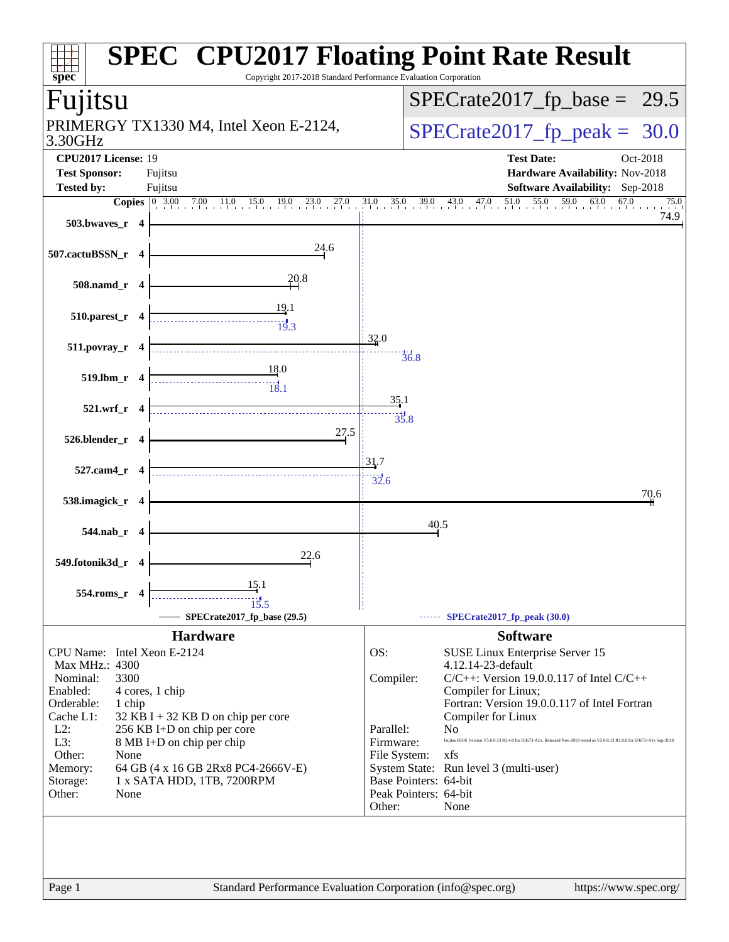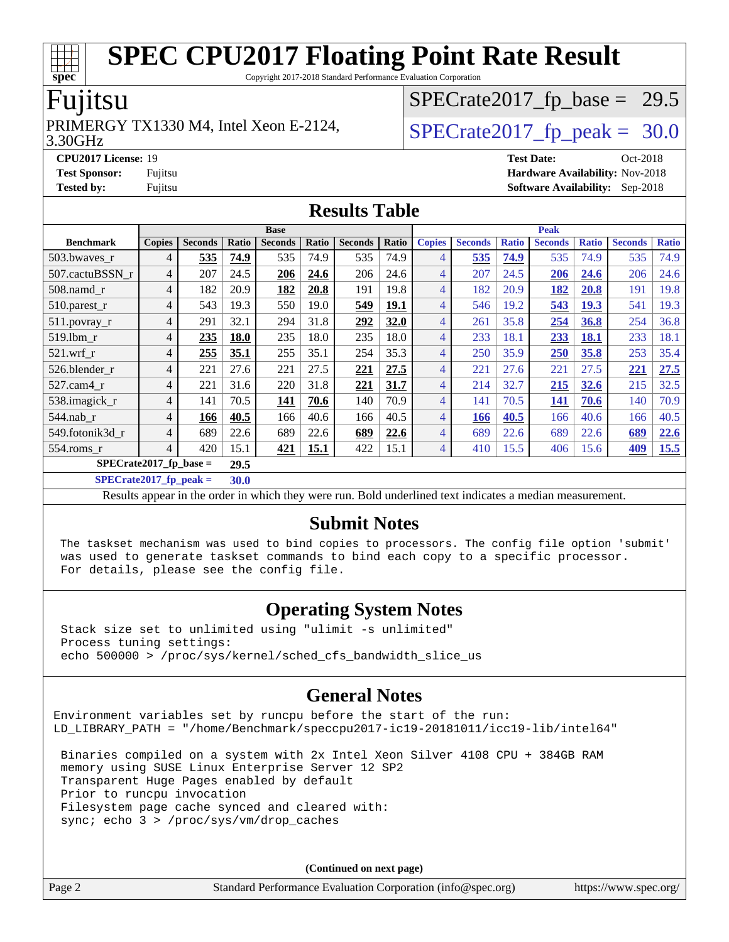Copyright 2017-2018 Standard Performance Evaluation Corporation

#### Fujitsu

#### 3.30GHz PRIMERGY TX1330 M4, Intel Xeon E-2124,  $\vert$ [SPECrate2017\\_fp\\_peak =](http://www.spec.org/auto/cpu2017/Docs/result-fields.html#SPECrate2017fppeak) 30.0

 $SPECTate2017_fp\_base = 29.5$ 

**[Tested by:](http://www.spec.org/auto/cpu2017/Docs/result-fields.html#Testedby)** Fujitsu **[Software Availability:](http://www.spec.org/auto/cpu2017/Docs/result-fields.html#SoftwareAvailability)** Sep-2018

#### **[CPU2017 License:](http://www.spec.org/auto/cpu2017/Docs/result-fields.html#CPU2017License)** 19 **[Test Date:](http://www.spec.org/auto/cpu2017/Docs/result-fields.html#TestDate)** Oct-2018 **[Test Sponsor:](http://www.spec.org/auto/cpu2017/Docs/result-fields.html#TestSponsor)** Fujitsu **[Hardware Availability:](http://www.spec.org/auto/cpu2017/Docs/result-fields.html#HardwareAvailability)** Nov-2018

**[Results Table](http://www.spec.org/auto/cpu2017/Docs/result-fields.html#ResultsTable)**

|                           | <b>Base</b>   |                |             |                | <b>Peak</b> |                |             |                |                |              |                |              |                |              |
|---------------------------|---------------|----------------|-------------|----------------|-------------|----------------|-------------|----------------|----------------|--------------|----------------|--------------|----------------|--------------|
| <b>Benchmark</b>          | <b>Copies</b> | <b>Seconds</b> | Ratio       | <b>Seconds</b> | Ratio       | <b>Seconds</b> | Ratio       | <b>Copies</b>  | <b>Seconds</b> | <b>Ratio</b> | <b>Seconds</b> | <b>Ratio</b> | <b>Seconds</b> | <b>Ratio</b> |
| 503.bwaves_r              | 4             | 535            | 74.9        | 535            | 74.9        | 535            | 74.9        | $\overline{4}$ | 535            | 74.9         | 535            | 74.9         | 535            | 74.9         |
| 507.cactuBSSN r           | 4             | 207            | 24.5        | 206            | 24.6        | 206            | 24.6        | 4              | 207            | 24.5         | 206            | 24.6         | 206            | 24.6         |
| $508$ .namd $r$           | 4             | 182            | 20.9        | 182            | 20.8        | 191            | 19.8        | $\overline{4}$ | 182            | 20.9         | 182            | 20.8         | 191            | 19.8         |
| 510.parest_r              | 4             | 543            | 19.3        | 550            | 19.0        | 549            | <b>19.1</b> | 4              | 546            | 19.2         | 543            | <b>19.3</b>  | 541            | 19.3         |
| 511.povray_r              | 4             | 291            | 32.1        | 294            | 31.8        | 292            | 32.0        | 4              | 261            | 35.8         | 254            | 36.8         | 254            | 36.8         |
| 519.1bm r                 | 4             | 235            | <b>18.0</b> | 235            | 18.0        | 235            | 18.0        | 4              | 233            | 18.1         | 233            | 18.1         | 233            | 18.1         |
| $521$ .wrf r              | 4             | 255            | 35.1        | 255            | 35.1        | 254            | 35.3        | 4              | 250            | 35.9         | 250            | 35.8         | 253            | 35.4         |
| 526.blender_r             | 4             | 221            | 27.6        | 221            | 27.5        | 221            | 27.5        | 4              | 221            | 27.6         | 221            | 27.5         | 221            | 27.5         |
| $527.cam4_r$              | 4             | 221            | 31.6        | 220            | 31.8        | 221            | 31.7        | 4              | 214            | 32.7         | 215            | 32.6         | 215            | 32.5         |
| 538.imagick_r             | 4             | 141            | 70.5        | 141            | 70.6        | 140            | 70.9        | 4              | 141            | 70.5         | 141            | 70.6         | 140            | 70.9         |
| $544$ .nab r              | 4             | 166            | 40.5        | 166            | 40.6        | 166            | 40.5        | 4              | 166            | 40.5         | 166            | 40.6         | 166            | 40.5         |
| 549.fotonik3d_r           | 4             | 689            | 22.6        | 689            | 22.6        | 689            | 22.6        | 4              | 689            | 22.6         | 689            | 22.6         | 689            | 22.6         |
| $554$ .roms $r$           | 4             | 420            | 15.1        | 421            | 15.1        | 422            | 15.1        | $\overline{4}$ | 410            | 15.5         | 406            | 15.6         | 409            | 15.5         |
| $SPECrate2017_fp\_base =$ |               |                | 29.5        |                |             |                |             |                |                |              |                |              |                |              |

**[SPECrate2017\\_fp\\_peak =](http://www.spec.org/auto/cpu2017/Docs/result-fields.html#SPECrate2017fppeak) 30.0**

Results appear in the [order in which they were run](http://www.spec.org/auto/cpu2017/Docs/result-fields.html#RunOrder). Bold underlined text [indicates a median measurement](http://www.spec.org/auto/cpu2017/Docs/result-fields.html#Median).

#### **[Submit Notes](http://www.spec.org/auto/cpu2017/Docs/result-fields.html#SubmitNotes)**

 The taskset mechanism was used to bind copies to processors. The config file option 'submit' was used to generate taskset commands to bind each copy to a specific processor. For details, please see the config file.

#### **[Operating System Notes](http://www.spec.org/auto/cpu2017/Docs/result-fields.html#OperatingSystemNotes)**

 Stack size set to unlimited using "ulimit -s unlimited" Process tuning settings: echo 500000 > /proc/sys/kernel/sched\_cfs\_bandwidth\_slice\_us

#### **[General Notes](http://www.spec.org/auto/cpu2017/Docs/result-fields.html#GeneralNotes)**

Environment variables set by runcpu before the start of the run: LD\_LIBRARY\_PATH = "/home/Benchmark/speccpu2017-ic19-20181011/icc19-lib/intel64"

 Binaries compiled on a system with 2x Intel Xeon Silver 4108 CPU + 384GB RAM memory using SUSE Linux Enterprise Server 12 SP2 Transparent Huge Pages enabled by default Prior to runcpu invocation Filesystem page cache synced and cleared with: sync; echo 3 > /proc/sys/vm/drop\_caches

**(Continued on next page)**

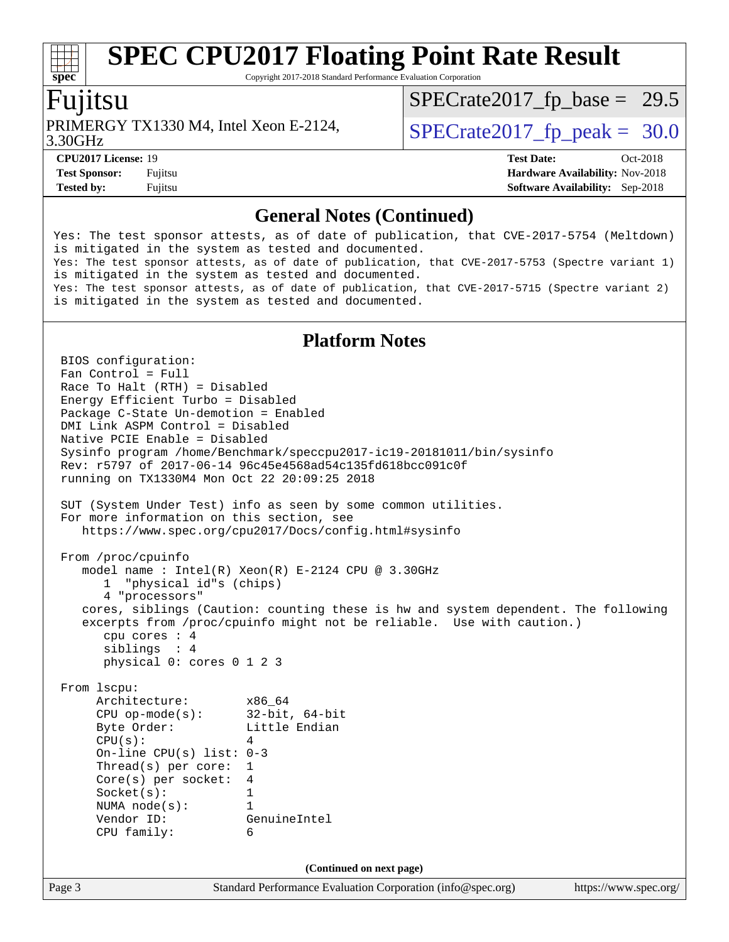Copyright 2017-2018 Standard Performance Evaluation Corporation

#### Fujitsu

**[spec](http://www.spec.org/)**

3.30GHz PRIMERGY TX1330 M4, Intel Xeon E-2124,  $\vert$ [SPECrate2017\\_fp\\_peak =](http://www.spec.org/auto/cpu2017/Docs/result-fields.html#SPECrate2017fppeak) 30.0

 $SPECTate2017_fp\_base = 29.5$ 

**[CPU2017 License:](http://www.spec.org/auto/cpu2017/Docs/result-fields.html#CPU2017License)** 19 **[Test Date:](http://www.spec.org/auto/cpu2017/Docs/result-fields.html#TestDate)** Oct-2018 **[Test Sponsor:](http://www.spec.org/auto/cpu2017/Docs/result-fields.html#TestSponsor)** Fujitsu **[Hardware Availability:](http://www.spec.org/auto/cpu2017/Docs/result-fields.html#HardwareAvailability)** Nov-2018 **[Tested by:](http://www.spec.org/auto/cpu2017/Docs/result-fields.html#Testedby)** Fujitsu **[Software Availability:](http://www.spec.org/auto/cpu2017/Docs/result-fields.html#SoftwareAvailability)** Sep-2018

#### **[General Notes \(Continued\)](http://www.spec.org/auto/cpu2017/Docs/result-fields.html#GeneralNotes)**

Yes: The test sponsor attests, as of date of publication, that CVE-2017-5754 (Meltdown) is mitigated in the system as tested and documented. Yes: The test sponsor attests, as of date of publication, that CVE-2017-5753 (Spectre variant 1) is mitigated in the system as tested and documented. Yes: The test sponsor attests, as of date of publication, that CVE-2017-5715 (Spectre variant 2) is mitigated in the system as tested and documented.

#### **[Platform Notes](http://www.spec.org/auto/cpu2017/Docs/result-fields.html#PlatformNotes)**

Page 3 Standard Performance Evaluation Corporation [\(info@spec.org\)](mailto:info@spec.org) <https://www.spec.org/> BIOS configuration: Fan Control = Full Race To Halt (RTH) = Disabled Energy Efficient Turbo = Disabled Package C-State Un-demotion = Enabled DMI Link ASPM Control = Disabled Native PCIE Enable = Disabled Sysinfo program /home/Benchmark/speccpu2017-ic19-20181011/bin/sysinfo Rev: r5797 of 2017-06-14 96c45e4568ad54c135fd618bcc091c0f running on TX1330M4 Mon Oct 22 20:09:25 2018 SUT (System Under Test) info as seen by some common utilities. For more information on this section, see <https://www.spec.org/cpu2017/Docs/config.html#sysinfo> From /proc/cpuinfo model name : Intel(R) Xeon(R) E-2124 CPU @ 3.30GHz 1 "physical id"s (chips) 4 "processors" cores, siblings (Caution: counting these is hw and system dependent. The following excerpts from /proc/cpuinfo might not be reliable. Use with caution.) cpu cores : 4 siblings : 4 physical 0: cores 0 1 2 3 From lscpu: Architecture: x86\_64 CPU op-mode(s): 32-bit, 64-bit Byte Order: Little Endian  $CPU(s):$  4 On-line CPU(s) list: 0-3 Thread(s) per core: 1 Core(s) per socket: 4 Socket(s): 1 NUMA node(s): 1 Vendor ID: GenuineIntel CPU family: 6 **(Continued on next page)**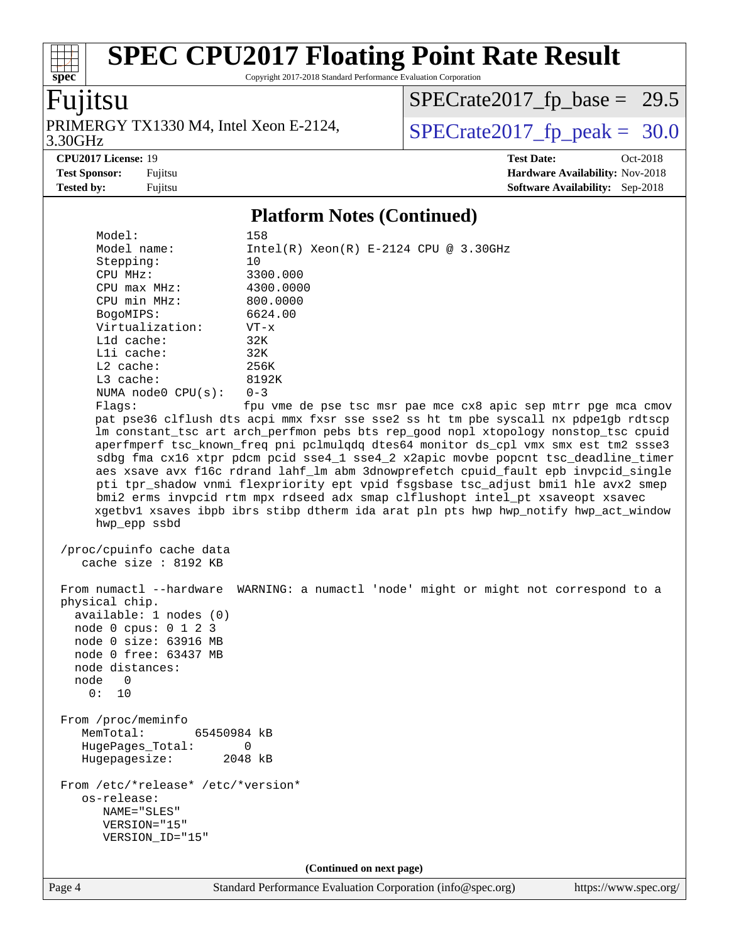Copyright 2017-2018 Standard Performance Evaluation Corporation

## Fujitsu

**[spec](http://www.spec.org/)**

3.30GHz PRIMERGY TX1330 M4, Intel Xeon E-2124,  $\text{SPECrate2017\_fp\_peak} = 30.0$ 

 $SPECrate2017_fp\_base = 29.5$ 

**[Tested by:](http://www.spec.org/auto/cpu2017/Docs/result-fields.html#Testedby)** Fujitsu **[Software Availability:](http://www.spec.org/auto/cpu2017/Docs/result-fields.html#SoftwareAvailability)** Sep-2018

**[CPU2017 License:](http://www.spec.org/auto/cpu2017/Docs/result-fields.html#CPU2017License)** 19 **[Test Date:](http://www.spec.org/auto/cpu2017/Docs/result-fields.html#TestDate)** Oct-2018 **[Test Sponsor:](http://www.spec.org/auto/cpu2017/Docs/result-fields.html#TestSponsor)** Fujitsu **[Hardware Availability:](http://www.spec.org/auto/cpu2017/Docs/result-fields.html#HardwareAvailability)** Nov-2018

#### **[Platform Notes \(Continued\)](http://www.spec.org/auto/cpu2017/Docs/result-fields.html#PlatformNotes)**

| Model:                             | 158                                                                                  |
|------------------------------------|--------------------------------------------------------------------------------------|
| Model name:                        | $Intel(R) Xeon(R) E-2124 CPU @ 3.30GHz$                                              |
| Stepping:                          | 10                                                                                   |
| CPU MHz:                           | 3300.000                                                                             |
| CPU max MHz:                       | 4300.0000                                                                            |
| CPU min MHz:                       | 800.0000                                                                             |
| BogoMIPS:                          | 6624.00                                                                              |
| Virtualization:                    | $VT - x$                                                                             |
| $L1d$ cache:                       | 32K                                                                                  |
| Lli cache:                         | 32K                                                                                  |
| $L2$ cache:                        | 256K                                                                                 |
| L3 cache:                          | 8192K                                                                                |
| NUMA node0 CPU(s):                 | $0 - 3$                                                                              |
| Flagg:                             | fpu vme de pse tsc msr pae mce cx8 apic sep mtrr pge mca cmov                        |
|                                    | pat pse36 clflush dts acpi mmx fxsr sse sse2 ss ht tm pbe syscall nx pdpelgb rdtscp  |
|                                    | lm constant_tsc art arch_perfmon pebs bts rep_good nopl xtopology nonstop_tsc cpuid  |
|                                    | aperfmperf tsc_known_freq pni pclmulqdq dtes64 monitor ds_cpl vmx smx est tm2 ssse3  |
|                                    | sdbg fma cx16 xtpr pdcm pcid sse4_1 sse4_2 x2apic movbe popcnt tsc_deadline_timer    |
|                                    |                                                                                      |
|                                    | aes xsave avx f16c rdrand lahf_lm abm 3dnowprefetch cpuid_fault epb invpcid_single   |
|                                    | pti tpr_shadow vnmi flexpriority ept vpid fsgsbase tsc_adjust bmil hle avx2 smep     |
|                                    | bmi2 erms invpcid rtm mpx rdseed adx smap clflushopt intel_pt xsaveopt xsavec        |
|                                    | xgetbvl xsaves ibpb ibrs stibp dtherm ida arat pln pts hwp hwp_notify hwp_act_window |
| hwp epp ssbd                       |                                                                                      |
|                                    |                                                                                      |
| /proc/cpuinfo cache data           |                                                                                      |
| cache size : 8192 KB               |                                                                                      |
|                                    |                                                                                      |
| From numactl --hardware            | WARNING: a numactl 'node' might or might not correspond to a                         |
| physical chip.                     |                                                                                      |
| available: 1 nodes (0)             |                                                                                      |
| node 0 cpus: 0 1 2 3               |                                                                                      |
| node 0 size: 63916 MB              |                                                                                      |
| node 0 free: 63437 MB              |                                                                                      |
| node distances:                    |                                                                                      |
| node<br>0                          |                                                                                      |
| 0: 10                              |                                                                                      |
|                                    |                                                                                      |
| From /proc/meminfo                 |                                                                                      |
| MemTotal:<br>65450984 kB           |                                                                                      |
| HugePages_Total:                   | 0                                                                                    |
| Hugepagesize:                      | 2048 kB                                                                              |
|                                    |                                                                                      |
| From /etc/*release* /etc/*version* |                                                                                      |
| os-release:                        |                                                                                      |
| NAME="SLES"                        |                                                                                      |
| VERSION="15"                       |                                                                                      |
| VERSION_ID="15"                    |                                                                                      |
|                                    |                                                                                      |
|                                    | (Continued on next page)                                                             |
|                                    |                                                                                      |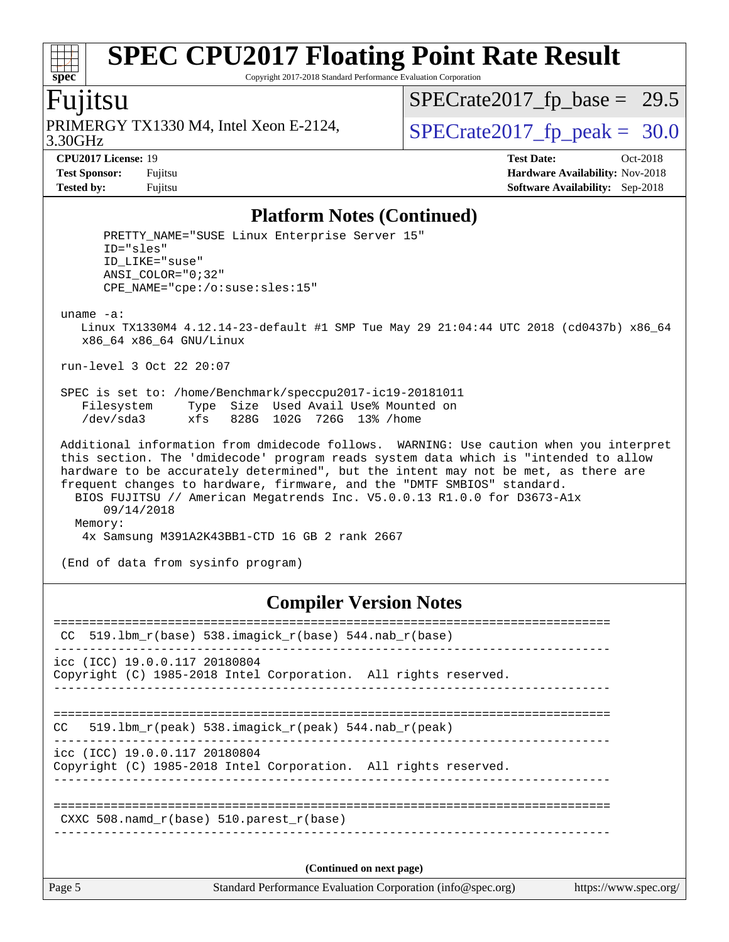Copyright 2017-2018 Standard Performance Evaluation Corporation

## Fujitsu

**[spec](http://www.spec.org/)**

 $+\ +$ 

3.30GHz PRIMERGY TX1330 M4, Intel Xeon E-2124,  $\sqrt{\text{SPECrate2017\_fp\_peak}} = 30.0$ 

 $SPECrate2017_fp\_base = 29.5$ 

**[CPU2017 License:](http://www.spec.org/auto/cpu2017/Docs/result-fields.html#CPU2017License)** 19 **[Test Date:](http://www.spec.org/auto/cpu2017/Docs/result-fields.html#TestDate)** Oct-2018 **[Test Sponsor:](http://www.spec.org/auto/cpu2017/Docs/result-fields.html#TestSponsor)** Fujitsu **[Hardware Availability:](http://www.spec.org/auto/cpu2017/Docs/result-fields.html#HardwareAvailability)** Nov-2018 **[Tested by:](http://www.spec.org/auto/cpu2017/Docs/result-fields.html#Testedby)** Fujitsu **[Software Availability:](http://www.spec.org/auto/cpu2017/Docs/result-fields.html#SoftwareAvailability)** Sep-2018

#### **[Platform Notes \(Continued\)](http://www.spec.org/auto/cpu2017/Docs/result-fields.html#PlatformNotes)**

| PRETTY_NAME="SUSE Linux Enterprise Server 15"<br>ID="sles"<br>ID LIKE="suse"<br>ANSI COLOR="0;32"<br>CPE NAME="cpe:/o:suse:sles:15"                                                                                                                                                                                                                                                                                                                                                                 |
|-----------------------------------------------------------------------------------------------------------------------------------------------------------------------------------------------------------------------------------------------------------------------------------------------------------------------------------------------------------------------------------------------------------------------------------------------------------------------------------------------------|
| $uname -a$ :<br>Linux TX1330M4 4.12.14-23-default #1 SMP Tue May 29 21:04:44 UTC 2018 (cd0437b) x86 64<br>x86 64 x86 64 GNU/Linux                                                                                                                                                                                                                                                                                                                                                                   |
| run-level 3 Oct 22 20:07                                                                                                                                                                                                                                                                                                                                                                                                                                                                            |
| SPEC is set to: /home/Benchmark/speccpu2017-ic19-20181011<br>Type Size Used Avail Use% Mounted on<br>Filesystem<br>/dev/sda3 xfs 828G 102G 726G 13% /home                                                                                                                                                                                                                                                                                                                                           |
| Additional information from dmidecode follows. WARNING: Use caution when you interpret<br>this section. The 'dmidecode' program reads system data which is "intended to allow<br>hardware to be accurately determined", but the intent may not be met, as there are<br>frequent changes to hardware, firmware, and the "DMTF SMBIOS" standard.<br>BIOS FUJITSU // American Megatrends Inc. V5.0.0.13 R1.0.0 for D3673-Alx<br>09/14/2018<br>Memory:<br>4x Samsung M391A2K43BB1-CTD 16 GB 2 rank 2667 |
| (End of data from sysinfo program)                                                                                                                                                                                                                                                                                                                                                                                                                                                                  |

#### **[Compiler Version Notes](http://www.spec.org/auto/cpu2017/Docs/result-fields.html#CompilerVersionNotes)**

| Page 5                        | Standard Performance Evaluation Corporation (info@spec.org)                    | https://www.spec.org/ |
|-------------------------------|--------------------------------------------------------------------------------|-----------------------|
|                               | (Continued on next page)                                                       |                       |
|                               | CXXC 508. namd $r(base)$ 510. parest $r(base)$                                 |                       |
| icc (ICC) 19.0.0.117 20180804 | Copyright (C) 1985-2018 Intel Corporation. All rights reserved.                |                       |
| <b>CC</b>                     | 519.1bm $r(\text{peak})$ 538.imagick $r(\text{peak})$ 544.nab $r(\text{peak})$ |                       |
| icc (ICC) 19.0.0.117 20180804 | Copyright (C) 1985-2018 Intel Corporation. All rights reserved.                |                       |
| CC.                           | $519.1$ bm_r(base) 538.imagick_r(base) 544.nab_r(base)                         |                       |
|                               |                                                                                |                       |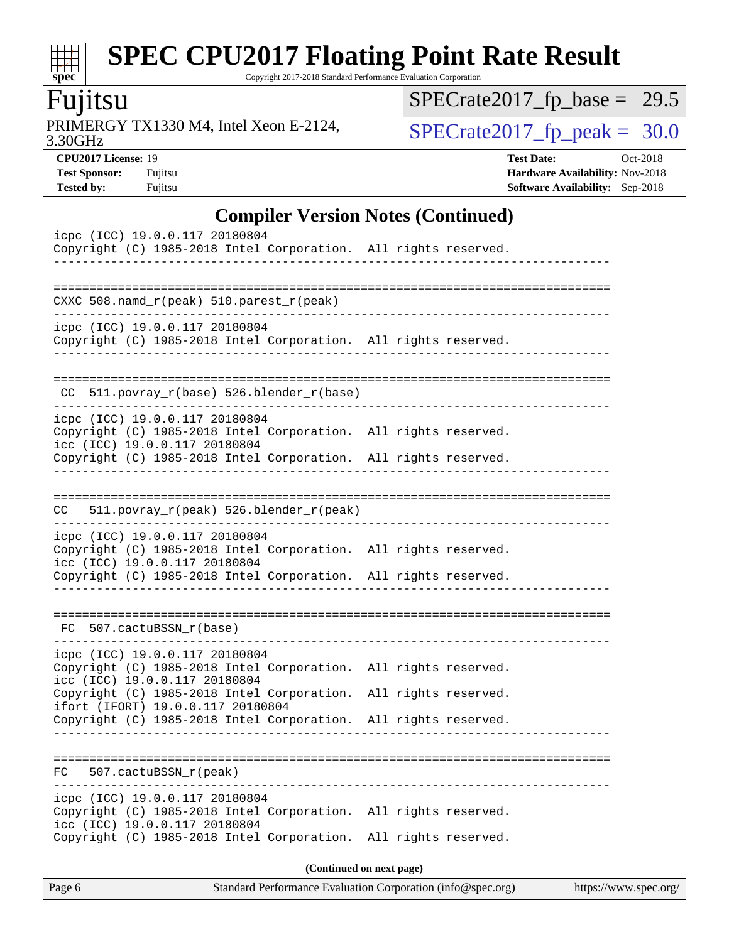Copyright 2017-2018 Standard Performance Evaluation Corporation

## Fujitsu

**[spec](http://www.spec.org/)**

3.30GHz PRIMERGY TX1330 M4, Intel Xeon E-2124,  $\text{SPECrate2017\_fp\_peak} = 30.0$ 

 $SPECrate2017_fp\_base = 29.5$ 

**[CPU2017 License:](http://www.spec.org/auto/cpu2017/Docs/result-fields.html#CPU2017License)** 19 **[Test Date:](http://www.spec.org/auto/cpu2017/Docs/result-fields.html#TestDate)** Oct-2018 **[Test Sponsor:](http://www.spec.org/auto/cpu2017/Docs/result-fields.html#TestSponsor)** Fujitsu **[Hardware Availability:](http://www.spec.org/auto/cpu2017/Docs/result-fields.html#HardwareAvailability)** Nov-2018 **[Tested by:](http://www.spec.org/auto/cpu2017/Docs/result-fields.html#Testedby)** Fujitsu **[Software Availability:](http://www.spec.org/auto/cpu2017/Docs/result-fields.html#SoftwareAvailability)** Sep-2018

#### **[Compiler Version Notes \(Continued\)](http://www.spec.org/auto/cpu2017/Docs/result-fields.html#CompilerVersionNotes)**

| Page 6                                                                                                                                                                                                | Standard Performance Evaluation Corporation (info@spec.org)<br>https://www.spec.org/ |
|-------------------------------------------------------------------------------------------------------------------------------------------------------------------------------------------------------|--------------------------------------------------------------------------------------|
|                                                                                                                                                                                                       | (Continued on next page)                                                             |
| Copyright (C) 1985-2018 Intel Corporation. All rights reserved.<br>icc (ICC) 19.0.0.117 20180804<br>Copyright (C) 1985-2018 Intel Corporation.                                                        | All rights reserved.                                                                 |
| icpc (ICC) 19.0.0.117 20180804                                                                                                                                                                        |                                                                                      |
| :===============<br>507.cactuBSSN_r(peak)<br>FC.                                                                                                                                                      |                                                                                      |
|                                                                                                                                                                                                       |                                                                                      |
| ifort (IFORT) 19.0.0.117 20180804<br>Copyright (C) 1985-2018 Intel Corporation.                                                                                                                       | All rights reserved.                                                                 |
| Copyright (C) 1985-2018 Intel Corporation. All rights reserved.<br>icc (ICC) 19.0.0.117 20180804<br>Copyright (C) 1985-2018 Intel Corporation.                                                        | All rights reserved.                                                                 |
| icpc (ICC) 19.0.0.117 20180804                                                                                                                                                                        |                                                                                      |
| FC 507.cactuBSSN r(base)                                                                                                                                                                              |                                                                                      |
|                                                                                                                                                                                                       |                                                                                      |
| icpc (ICC) 19.0.0.117 20180804<br>Copyright (C) 1985-2018 Intel Corporation. All rights reserved.<br>icc (ICC) 19.0.0.117 20180804<br>Copyright (C) 1985-2018 Intel Corporation. All rights reserved. |                                                                                      |
| 511.povray_r(peak) 526.blender_r(peak)<br>CC                                                                                                                                                          |                                                                                      |
|                                                                                                                                                                                                       |                                                                                      |
| Copyright (C) 1985-2018 Intel Corporation. All rights reserved.                                                                                                                                       |                                                                                      |
| icpc (ICC) 19.0.0.117 20180804<br>Copyright (C) 1985-2018 Intel Corporation. All rights reserved.<br>icc (ICC) 19.0.0.117 20180804                                                                    |                                                                                      |
| 511.povray_r(base) 526.blender_r(base)<br>CC.                                                                                                                                                         |                                                                                      |
| icpc (ICC) 19.0.0.117 20180804<br>Copyright (C) 1985-2018 Intel Corporation. All rights reserved.                                                                                                     |                                                                                      |
| CXXC 508.namd_r(peak) 510.parest_r(peak)                                                                                                                                                              | _____________________________________                                                |
|                                                                                                                                                                                                       |                                                                                      |
| icpc (ICC) 19.0.0.117 20180804<br>Copyright (C) 1985-2018 Intel Corporation. All rights reserved.                                                                                                     |                                                                                      |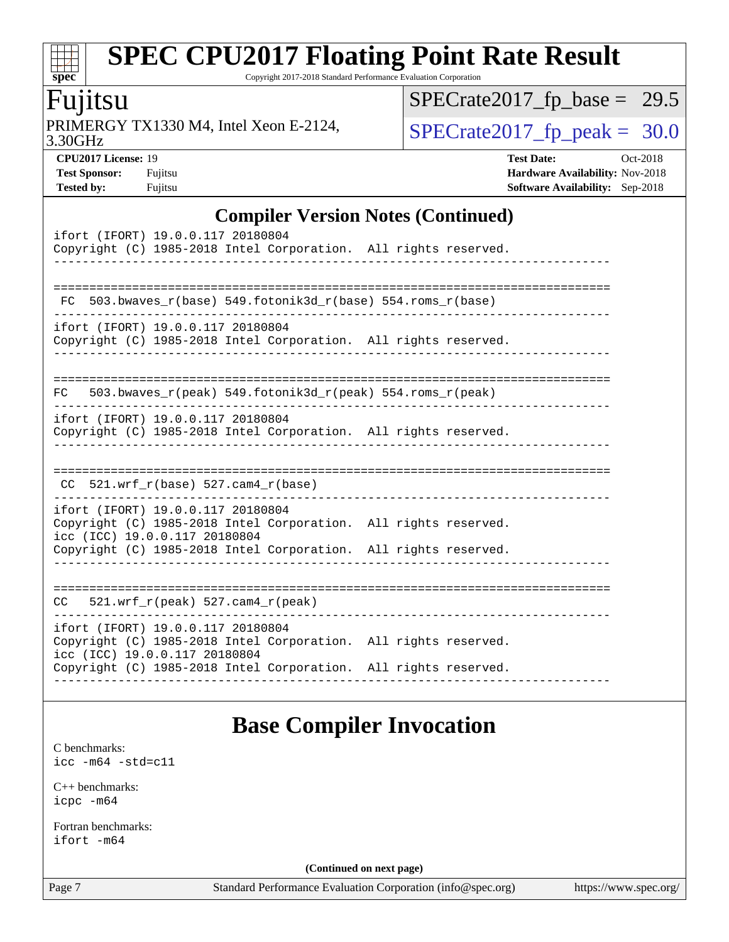Copyright 2017-2018 Standard Performance Evaluation Corporation

## Fujitsu

**[spec](http://www.spec.org/)**

dd h

3.30GHz PRIMERGY TX1330 M4, Intel Xeon E-2124,  $\sqrt{\text{SPECrate2017\_fp\_peak}} = 30.0$ 

 $SPECrate2017_fp\_base = 29.5$ 

**[CPU2017 License:](http://www.spec.org/auto/cpu2017/Docs/result-fields.html#CPU2017License)** 19 **[Test Date:](http://www.spec.org/auto/cpu2017/Docs/result-fields.html#TestDate)** Oct-2018 **[Test Sponsor:](http://www.spec.org/auto/cpu2017/Docs/result-fields.html#TestSponsor)** Fujitsu **Fundal** Fujitsu **[Hardware Availability:](http://www.spec.org/auto/cpu2017/Docs/result-fields.html#HardwareAvailability)** Nov-2018 **[Tested by:](http://www.spec.org/auto/cpu2017/Docs/result-fields.html#Testedby)** Fujitsu **[Software Availability:](http://www.spec.org/auto/cpu2017/Docs/result-fields.html#SoftwareAvailability)** Sep-2018

#### **[Compiler Version Notes \(Continued\)](http://www.spec.org/auto/cpu2017/Docs/result-fields.html#CompilerVersionNotes)**

| ifort (IFORT) 19.0.0.117 20180804<br>Copyright (C) 1985-2018 Intel Corporation. All rights reserved.                                                                                                     |  |
|----------------------------------------------------------------------------------------------------------------------------------------------------------------------------------------------------------|--|
| FC 503.bwaves_r(base) 549.fotonik3d_r(base) 554.roms_r(base)                                                                                                                                             |  |
| ifort (IFORT) 19.0.0.117 20180804<br>Copyright (C) 1985-2018 Intel Corporation. All rights reserved.                                                                                                     |  |
| 503.bwaves $r(\text{peak})$ 549.fotonik3d $r(\text{peak})$ 554.roms $r(\text{peak})$<br>FC                                                                                                               |  |
| ifort (IFORT) 19.0.0.117 20180804<br>Copyright (C) 1985-2018 Intel Corporation. All rights reserved.                                                                                                     |  |
| $CC$ 521.wrf_r(base) 527.cam4_r(base)                                                                                                                                                                    |  |
| ifort (IFORT) 19.0.0.117 20180804<br>Copyright (C) 1985-2018 Intel Corporation. All rights reserved.<br>icc (ICC) 19.0.0.117 20180804<br>Copyright (C) 1985-2018 Intel Corporation. All rights reserved. |  |
| $CC = 521.wrf_r(peak) 527.cam4_r(peak)$                                                                                                                                                                  |  |
| ifort (IFORT) 19.0.0.117 20180804<br>Copyright (C) 1985-2018 Intel Corporation. All rights reserved.<br>icc (ICC) 19.0.0.117 20180804<br>Copyright (C) 1985-2018 Intel Corporation. All rights reserved. |  |

### **[Base Compiler Invocation](http://www.spec.org/auto/cpu2017/Docs/result-fields.html#BaseCompilerInvocation)**

[C benchmarks](http://www.spec.org/auto/cpu2017/Docs/result-fields.html#Cbenchmarks): [icc -m64 -std=c11](http://www.spec.org/cpu2017/results/res2018q4/cpu2017-20181030-09452.flags.html#user_CCbase_intel_icc_64bit_c11_33ee0cdaae7deeeab2a9725423ba97205ce30f63b9926c2519791662299b76a0318f32ddfffdc46587804de3178b4f9328c46fa7c2b0cd779d7a61945c91cd35)

[C++ benchmarks:](http://www.spec.org/auto/cpu2017/Docs/result-fields.html#CXXbenchmarks) [icpc -m64](http://www.spec.org/cpu2017/results/res2018q4/cpu2017-20181030-09452.flags.html#user_CXXbase_intel_icpc_64bit_4ecb2543ae3f1412ef961e0650ca070fec7b7afdcd6ed48761b84423119d1bf6bdf5cad15b44d48e7256388bc77273b966e5eb805aefd121eb22e9299b2ec9d9)

[Fortran benchmarks](http://www.spec.org/auto/cpu2017/Docs/result-fields.html#Fortranbenchmarks): [ifort -m64](http://www.spec.org/cpu2017/results/res2018q4/cpu2017-20181030-09452.flags.html#user_FCbase_intel_ifort_64bit_24f2bb282fbaeffd6157abe4f878425411749daecae9a33200eee2bee2fe76f3b89351d69a8130dd5949958ce389cf37ff59a95e7a40d588e8d3a57e0c3fd751)

**(Continued on next page)**

Page 7 Standard Performance Evaluation Corporation [\(info@spec.org\)](mailto:info@spec.org) <https://www.spec.org/>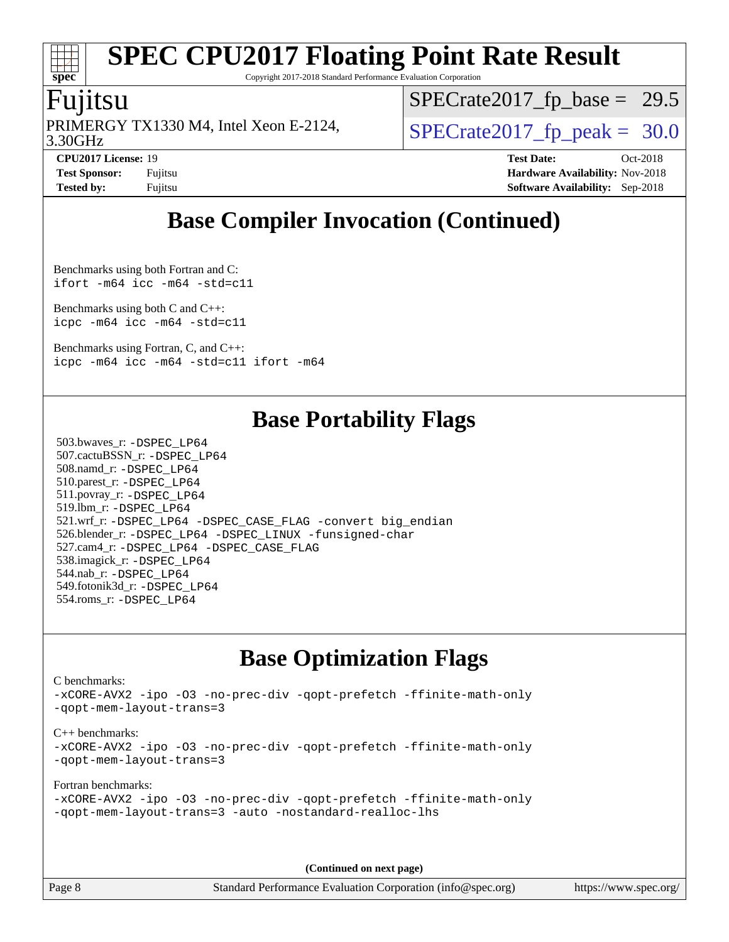Copyright 2017-2018 Standard Performance Evaluation Corporation

### Fujitsu

**[spec](http://www.spec.org/)**

3.30GHz PRIMERGY TX1330 M4, Intel Xeon E-2124,  $\vert$  [SPECrate2017\\_fp\\_peak =](http://www.spec.org/auto/cpu2017/Docs/result-fields.html#SPECrate2017fppeak) 30.0

 $SPECrate2017_fp\_base = 29.5$ 

**[Tested by:](http://www.spec.org/auto/cpu2017/Docs/result-fields.html#Testedby)** Fujitsu **[Software Availability:](http://www.spec.org/auto/cpu2017/Docs/result-fields.html#SoftwareAvailability)** Sep-2018

**[CPU2017 License:](http://www.spec.org/auto/cpu2017/Docs/result-fields.html#CPU2017License)** 19 **[Test Date:](http://www.spec.org/auto/cpu2017/Docs/result-fields.html#TestDate)** Oct-2018 **[Test Sponsor:](http://www.spec.org/auto/cpu2017/Docs/result-fields.html#TestSponsor)** Fujitsu **Fundal** Fujitsu **[Hardware Availability:](http://www.spec.org/auto/cpu2017/Docs/result-fields.html#HardwareAvailability)** Nov-2018

## **[Base Compiler Invocation \(Continued\)](http://www.spec.org/auto/cpu2017/Docs/result-fields.html#BaseCompilerInvocation)**

[Benchmarks using both Fortran and C](http://www.spec.org/auto/cpu2017/Docs/result-fields.html#BenchmarksusingbothFortranandC): [ifort -m64](http://www.spec.org/cpu2017/results/res2018q4/cpu2017-20181030-09452.flags.html#user_CC_FCbase_intel_ifort_64bit_24f2bb282fbaeffd6157abe4f878425411749daecae9a33200eee2bee2fe76f3b89351d69a8130dd5949958ce389cf37ff59a95e7a40d588e8d3a57e0c3fd751) [icc -m64 -std=c11](http://www.spec.org/cpu2017/results/res2018q4/cpu2017-20181030-09452.flags.html#user_CC_FCbase_intel_icc_64bit_c11_33ee0cdaae7deeeab2a9725423ba97205ce30f63b9926c2519791662299b76a0318f32ddfffdc46587804de3178b4f9328c46fa7c2b0cd779d7a61945c91cd35)

[Benchmarks using both C and C++](http://www.spec.org/auto/cpu2017/Docs/result-fields.html#BenchmarksusingbothCandCXX): [icpc -m64](http://www.spec.org/cpu2017/results/res2018q4/cpu2017-20181030-09452.flags.html#user_CC_CXXbase_intel_icpc_64bit_4ecb2543ae3f1412ef961e0650ca070fec7b7afdcd6ed48761b84423119d1bf6bdf5cad15b44d48e7256388bc77273b966e5eb805aefd121eb22e9299b2ec9d9) [icc -m64 -std=c11](http://www.spec.org/cpu2017/results/res2018q4/cpu2017-20181030-09452.flags.html#user_CC_CXXbase_intel_icc_64bit_c11_33ee0cdaae7deeeab2a9725423ba97205ce30f63b9926c2519791662299b76a0318f32ddfffdc46587804de3178b4f9328c46fa7c2b0cd779d7a61945c91cd35)

[Benchmarks using Fortran, C, and C++:](http://www.spec.org/auto/cpu2017/Docs/result-fields.html#BenchmarksusingFortranCandCXX) [icpc -m64](http://www.spec.org/cpu2017/results/res2018q4/cpu2017-20181030-09452.flags.html#user_CC_CXX_FCbase_intel_icpc_64bit_4ecb2543ae3f1412ef961e0650ca070fec7b7afdcd6ed48761b84423119d1bf6bdf5cad15b44d48e7256388bc77273b966e5eb805aefd121eb22e9299b2ec9d9) [icc -m64 -std=c11](http://www.spec.org/cpu2017/results/res2018q4/cpu2017-20181030-09452.flags.html#user_CC_CXX_FCbase_intel_icc_64bit_c11_33ee0cdaae7deeeab2a9725423ba97205ce30f63b9926c2519791662299b76a0318f32ddfffdc46587804de3178b4f9328c46fa7c2b0cd779d7a61945c91cd35) [ifort -m64](http://www.spec.org/cpu2017/results/res2018q4/cpu2017-20181030-09452.flags.html#user_CC_CXX_FCbase_intel_ifort_64bit_24f2bb282fbaeffd6157abe4f878425411749daecae9a33200eee2bee2fe76f3b89351d69a8130dd5949958ce389cf37ff59a95e7a40d588e8d3a57e0c3fd751)

### **[Base Portability Flags](http://www.spec.org/auto/cpu2017/Docs/result-fields.html#BasePortabilityFlags)**

 503.bwaves\_r: [-DSPEC\\_LP64](http://www.spec.org/cpu2017/results/res2018q4/cpu2017-20181030-09452.flags.html#suite_basePORTABILITY503_bwaves_r_DSPEC_LP64) 507.cactuBSSN\_r: [-DSPEC\\_LP64](http://www.spec.org/cpu2017/results/res2018q4/cpu2017-20181030-09452.flags.html#suite_basePORTABILITY507_cactuBSSN_r_DSPEC_LP64) 508.namd\_r: [-DSPEC\\_LP64](http://www.spec.org/cpu2017/results/res2018q4/cpu2017-20181030-09452.flags.html#suite_basePORTABILITY508_namd_r_DSPEC_LP64) 510.parest\_r: [-DSPEC\\_LP64](http://www.spec.org/cpu2017/results/res2018q4/cpu2017-20181030-09452.flags.html#suite_basePORTABILITY510_parest_r_DSPEC_LP64) 511.povray\_r: [-DSPEC\\_LP64](http://www.spec.org/cpu2017/results/res2018q4/cpu2017-20181030-09452.flags.html#suite_basePORTABILITY511_povray_r_DSPEC_LP64) 519.lbm\_r: [-DSPEC\\_LP64](http://www.spec.org/cpu2017/results/res2018q4/cpu2017-20181030-09452.flags.html#suite_basePORTABILITY519_lbm_r_DSPEC_LP64) 521.wrf\_r: [-DSPEC\\_LP64](http://www.spec.org/cpu2017/results/res2018q4/cpu2017-20181030-09452.flags.html#suite_basePORTABILITY521_wrf_r_DSPEC_LP64) [-DSPEC\\_CASE\\_FLAG](http://www.spec.org/cpu2017/results/res2018q4/cpu2017-20181030-09452.flags.html#b521.wrf_r_baseCPORTABILITY_DSPEC_CASE_FLAG) [-convert big\\_endian](http://www.spec.org/cpu2017/results/res2018q4/cpu2017-20181030-09452.flags.html#user_baseFPORTABILITY521_wrf_r_convert_big_endian_c3194028bc08c63ac5d04de18c48ce6d347e4e562e8892b8bdbdc0214820426deb8554edfa529a3fb25a586e65a3d812c835984020483e7e73212c4d31a38223) 526.blender\_r: [-DSPEC\\_LP64](http://www.spec.org/cpu2017/results/res2018q4/cpu2017-20181030-09452.flags.html#suite_basePORTABILITY526_blender_r_DSPEC_LP64) [-DSPEC\\_LINUX](http://www.spec.org/cpu2017/results/res2018q4/cpu2017-20181030-09452.flags.html#b526.blender_r_baseCPORTABILITY_DSPEC_LINUX) [-funsigned-char](http://www.spec.org/cpu2017/results/res2018q4/cpu2017-20181030-09452.flags.html#user_baseCPORTABILITY526_blender_r_force_uchar_40c60f00ab013830e2dd6774aeded3ff59883ba5a1fc5fc14077f794d777847726e2a5858cbc7672e36e1b067e7e5c1d9a74f7176df07886a243d7cc18edfe67) 527.cam4\_r: [-DSPEC\\_LP64](http://www.spec.org/cpu2017/results/res2018q4/cpu2017-20181030-09452.flags.html#suite_basePORTABILITY527_cam4_r_DSPEC_LP64) [-DSPEC\\_CASE\\_FLAG](http://www.spec.org/cpu2017/results/res2018q4/cpu2017-20181030-09452.flags.html#b527.cam4_r_baseCPORTABILITY_DSPEC_CASE_FLAG) 538.imagick\_r: [-DSPEC\\_LP64](http://www.spec.org/cpu2017/results/res2018q4/cpu2017-20181030-09452.flags.html#suite_basePORTABILITY538_imagick_r_DSPEC_LP64) 544.nab\_r: [-DSPEC\\_LP64](http://www.spec.org/cpu2017/results/res2018q4/cpu2017-20181030-09452.flags.html#suite_basePORTABILITY544_nab_r_DSPEC_LP64) 549.fotonik3d\_r: [-DSPEC\\_LP64](http://www.spec.org/cpu2017/results/res2018q4/cpu2017-20181030-09452.flags.html#suite_basePORTABILITY549_fotonik3d_r_DSPEC_LP64) 554.roms\_r: [-DSPEC\\_LP64](http://www.spec.org/cpu2017/results/res2018q4/cpu2017-20181030-09452.flags.html#suite_basePORTABILITY554_roms_r_DSPEC_LP64)

## **[Base Optimization Flags](http://www.spec.org/auto/cpu2017/Docs/result-fields.html#BaseOptimizationFlags)**

[C benchmarks](http://www.spec.org/auto/cpu2017/Docs/result-fields.html#Cbenchmarks):

[-xCORE-AVX2](http://www.spec.org/cpu2017/results/res2018q4/cpu2017-20181030-09452.flags.html#user_CCbase_f-xCORE-AVX2) [-ipo](http://www.spec.org/cpu2017/results/res2018q4/cpu2017-20181030-09452.flags.html#user_CCbase_f-ipo) [-O3](http://www.spec.org/cpu2017/results/res2018q4/cpu2017-20181030-09452.flags.html#user_CCbase_f-O3) [-no-prec-div](http://www.spec.org/cpu2017/results/res2018q4/cpu2017-20181030-09452.flags.html#user_CCbase_f-no-prec-div) [-qopt-prefetch](http://www.spec.org/cpu2017/results/res2018q4/cpu2017-20181030-09452.flags.html#user_CCbase_f-qopt-prefetch) [-ffinite-math-only](http://www.spec.org/cpu2017/results/res2018q4/cpu2017-20181030-09452.flags.html#user_CCbase_f_finite_math_only_cb91587bd2077682c4b38af759c288ed7c732db004271a9512da14a4f8007909a5f1427ecbf1a0fb78ff2a814402c6114ac565ca162485bbcae155b5e4258871) [-qopt-mem-layout-trans=3](http://www.spec.org/cpu2017/results/res2018q4/cpu2017-20181030-09452.flags.html#user_CCbase_f-qopt-mem-layout-trans_de80db37974c74b1f0e20d883f0b675c88c3b01e9d123adea9b28688d64333345fb62bc4a798493513fdb68f60282f9a726aa07f478b2f7113531aecce732043) [C++ benchmarks:](http://www.spec.org/auto/cpu2017/Docs/result-fields.html#CXXbenchmarks) [-xCORE-AVX2](http://www.spec.org/cpu2017/results/res2018q4/cpu2017-20181030-09452.flags.html#user_CXXbase_f-xCORE-AVX2) [-ipo](http://www.spec.org/cpu2017/results/res2018q4/cpu2017-20181030-09452.flags.html#user_CXXbase_f-ipo) [-O3](http://www.spec.org/cpu2017/results/res2018q4/cpu2017-20181030-09452.flags.html#user_CXXbase_f-O3) [-no-prec-div](http://www.spec.org/cpu2017/results/res2018q4/cpu2017-20181030-09452.flags.html#user_CXXbase_f-no-prec-div) [-qopt-prefetch](http://www.spec.org/cpu2017/results/res2018q4/cpu2017-20181030-09452.flags.html#user_CXXbase_f-qopt-prefetch) [-ffinite-math-only](http://www.spec.org/cpu2017/results/res2018q4/cpu2017-20181030-09452.flags.html#user_CXXbase_f_finite_math_only_cb91587bd2077682c4b38af759c288ed7c732db004271a9512da14a4f8007909a5f1427ecbf1a0fb78ff2a814402c6114ac565ca162485bbcae155b5e4258871) [-qopt-mem-layout-trans=3](http://www.spec.org/cpu2017/results/res2018q4/cpu2017-20181030-09452.flags.html#user_CXXbase_f-qopt-mem-layout-trans_de80db37974c74b1f0e20d883f0b675c88c3b01e9d123adea9b28688d64333345fb62bc4a798493513fdb68f60282f9a726aa07f478b2f7113531aecce732043) [Fortran benchmarks](http://www.spec.org/auto/cpu2017/Docs/result-fields.html#Fortranbenchmarks):

```
-xCORE-AVX2 -ipo -O3 -no-prec-div -qopt-prefetch -ffinite-math-only
-qopt-mem-layout-trans=3 -auto -nostandard-realloc-lhs
```
**(Continued on next page)**

Page 8 Standard Performance Evaluation Corporation [\(info@spec.org\)](mailto:info@spec.org) <https://www.spec.org/>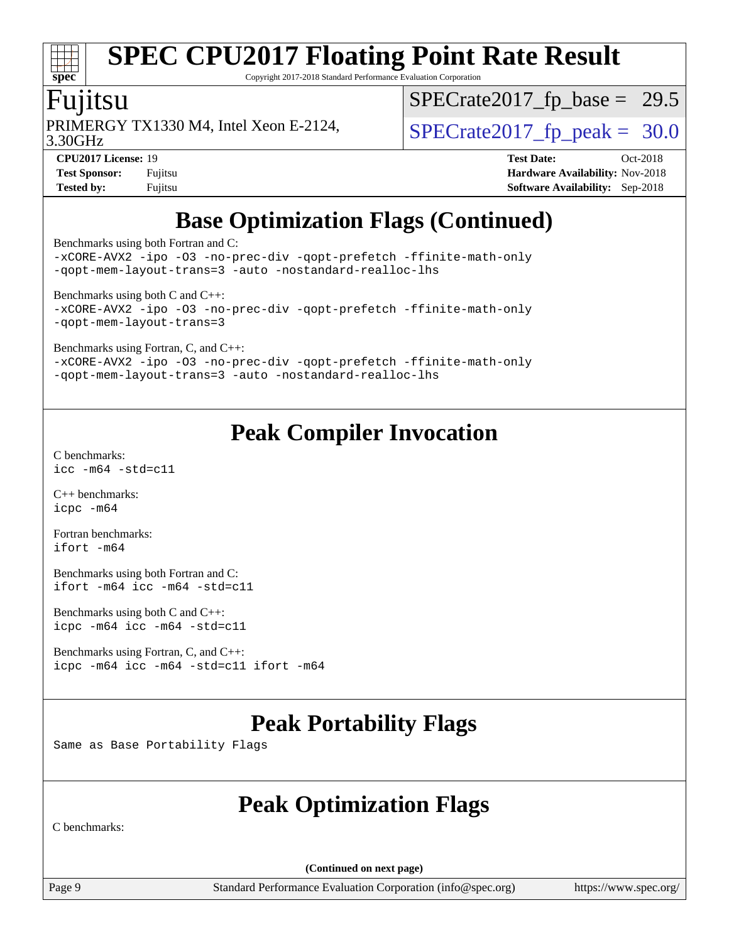# **[spec](http://www.spec.org/)**

# **[SPEC CPU2017 Floating Point Rate Result](http://www.spec.org/auto/cpu2017/Docs/result-fields.html#SPECCPU2017FloatingPointRateResult)**

Copyright 2017-2018 Standard Performance Evaluation Corporation

#### Fujitsu

PRIMERGY TX1330 M4, Intel Xeon E-2124,  $\vert$ [SPECrate2017\\_fp\\_peak =](http://www.spec.org/auto/cpu2017/Docs/result-fields.html#SPECrate2017fppeak) 30.0

 $SPECrate2017_fp\_base = 29.5$ 

3.30GHz

**[CPU2017 License:](http://www.spec.org/auto/cpu2017/Docs/result-fields.html#CPU2017License)** 19 **[Test Date:](http://www.spec.org/auto/cpu2017/Docs/result-fields.html#TestDate)** Oct-2018 **[Test Sponsor:](http://www.spec.org/auto/cpu2017/Docs/result-fields.html#TestSponsor)** Fujitsu **[Hardware Availability:](http://www.spec.org/auto/cpu2017/Docs/result-fields.html#HardwareAvailability)** Nov-2018 **[Tested by:](http://www.spec.org/auto/cpu2017/Docs/result-fields.html#Testedby)** Fujitsu **[Software Availability:](http://www.spec.org/auto/cpu2017/Docs/result-fields.html#SoftwareAvailability)** Sep-2018

## **[Base Optimization Flags \(Continued\)](http://www.spec.org/auto/cpu2017/Docs/result-fields.html#BaseOptimizationFlags)**

[Benchmarks using both Fortran and C](http://www.spec.org/auto/cpu2017/Docs/result-fields.html#BenchmarksusingbothFortranandC):

[-xCORE-AVX2](http://www.spec.org/cpu2017/results/res2018q4/cpu2017-20181030-09452.flags.html#user_CC_FCbase_f-xCORE-AVX2) [-ipo](http://www.spec.org/cpu2017/results/res2018q4/cpu2017-20181030-09452.flags.html#user_CC_FCbase_f-ipo) [-O3](http://www.spec.org/cpu2017/results/res2018q4/cpu2017-20181030-09452.flags.html#user_CC_FCbase_f-O3) [-no-prec-div](http://www.spec.org/cpu2017/results/res2018q4/cpu2017-20181030-09452.flags.html#user_CC_FCbase_f-no-prec-div) [-qopt-prefetch](http://www.spec.org/cpu2017/results/res2018q4/cpu2017-20181030-09452.flags.html#user_CC_FCbase_f-qopt-prefetch) [-ffinite-math-only](http://www.spec.org/cpu2017/results/res2018q4/cpu2017-20181030-09452.flags.html#user_CC_FCbase_f_finite_math_only_cb91587bd2077682c4b38af759c288ed7c732db004271a9512da14a4f8007909a5f1427ecbf1a0fb78ff2a814402c6114ac565ca162485bbcae155b5e4258871) [-qopt-mem-layout-trans=3](http://www.spec.org/cpu2017/results/res2018q4/cpu2017-20181030-09452.flags.html#user_CC_FCbase_f-qopt-mem-layout-trans_de80db37974c74b1f0e20d883f0b675c88c3b01e9d123adea9b28688d64333345fb62bc4a798493513fdb68f60282f9a726aa07f478b2f7113531aecce732043) [-auto](http://www.spec.org/cpu2017/results/res2018q4/cpu2017-20181030-09452.flags.html#user_CC_FCbase_f-auto) [-nostandard-realloc-lhs](http://www.spec.org/cpu2017/results/res2018q4/cpu2017-20181030-09452.flags.html#user_CC_FCbase_f_2003_std_realloc_82b4557e90729c0f113870c07e44d33d6f5a304b4f63d4c15d2d0f1fab99f5daaed73bdb9275d9ae411527f28b936061aa8b9c8f2d63842963b95c9dd6426b8a)

[Benchmarks using both C and C++](http://www.spec.org/auto/cpu2017/Docs/result-fields.html#BenchmarksusingbothCandCXX): [-xCORE-AVX2](http://www.spec.org/cpu2017/results/res2018q4/cpu2017-20181030-09452.flags.html#user_CC_CXXbase_f-xCORE-AVX2) [-ipo](http://www.spec.org/cpu2017/results/res2018q4/cpu2017-20181030-09452.flags.html#user_CC_CXXbase_f-ipo) [-O3](http://www.spec.org/cpu2017/results/res2018q4/cpu2017-20181030-09452.flags.html#user_CC_CXXbase_f-O3) [-no-prec-div](http://www.spec.org/cpu2017/results/res2018q4/cpu2017-20181030-09452.flags.html#user_CC_CXXbase_f-no-prec-div) [-qopt-prefetch](http://www.spec.org/cpu2017/results/res2018q4/cpu2017-20181030-09452.flags.html#user_CC_CXXbase_f-qopt-prefetch) [-ffinite-math-only](http://www.spec.org/cpu2017/results/res2018q4/cpu2017-20181030-09452.flags.html#user_CC_CXXbase_f_finite_math_only_cb91587bd2077682c4b38af759c288ed7c732db004271a9512da14a4f8007909a5f1427ecbf1a0fb78ff2a814402c6114ac565ca162485bbcae155b5e4258871) [-qopt-mem-layout-trans=3](http://www.spec.org/cpu2017/results/res2018q4/cpu2017-20181030-09452.flags.html#user_CC_CXXbase_f-qopt-mem-layout-trans_de80db37974c74b1f0e20d883f0b675c88c3b01e9d123adea9b28688d64333345fb62bc4a798493513fdb68f60282f9a726aa07f478b2f7113531aecce732043)

[Benchmarks using Fortran, C, and C++:](http://www.spec.org/auto/cpu2017/Docs/result-fields.html#BenchmarksusingFortranCandCXX)

[-xCORE-AVX2](http://www.spec.org/cpu2017/results/res2018q4/cpu2017-20181030-09452.flags.html#user_CC_CXX_FCbase_f-xCORE-AVX2) [-ipo](http://www.spec.org/cpu2017/results/res2018q4/cpu2017-20181030-09452.flags.html#user_CC_CXX_FCbase_f-ipo) [-O3](http://www.spec.org/cpu2017/results/res2018q4/cpu2017-20181030-09452.flags.html#user_CC_CXX_FCbase_f-O3) [-no-prec-div](http://www.spec.org/cpu2017/results/res2018q4/cpu2017-20181030-09452.flags.html#user_CC_CXX_FCbase_f-no-prec-div) [-qopt-prefetch](http://www.spec.org/cpu2017/results/res2018q4/cpu2017-20181030-09452.flags.html#user_CC_CXX_FCbase_f-qopt-prefetch) [-ffinite-math-only](http://www.spec.org/cpu2017/results/res2018q4/cpu2017-20181030-09452.flags.html#user_CC_CXX_FCbase_f_finite_math_only_cb91587bd2077682c4b38af759c288ed7c732db004271a9512da14a4f8007909a5f1427ecbf1a0fb78ff2a814402c6114ac565ca162485bbcae155b5e4258871) [-qopt-mem-layout-trans=3](http://www.spec.org/cpu2017/results/res2018q4/cpu2017-20181030-09452.flags.html#user_CC_CXX_FCbase_f-qopt-mem-layout-trans_de80db37974c74b1f0e20d883f0b675c88c3b01e9d123adea9b28688d64333345fb62bc4a798493513fdb68f60282f9a726aa07f478b2f7113531aecce732043) [-auto](http://www.spec.org/cpu2017/results/res2018q4/cpu2017-20181030-09452.flags.html#user_CC_CXX_FCbase_f-auto) [-nostandard-realloc-lhs](http://www.spec.org/cpu2017/results/res2018q4/cpu2017-20181030-09452.flags.html#user_CC_CXX_FCbase_f_2003_std_realloc_82b4557e90729c0f113870c07e44d33d6f5a304b4f63d4c15d2d0f1fab99f5daaed73bdb9275d9ae411527f28b936061aa8b9c8f2d63842963b95c9dd6426b8a)

## **[Peak Compiler Invocation](http://www.spec.org/auto/cpu2017/Docs/result-fields.html#PeakCompilerInvocation)**

[C benchmarks](http://www.spec.org/auto/cpu2017/Docs/result-fields.html#Cbenchmarks): [icc -m64 -std=c11](http://www.spec.org/cpu2017/results/res2018q4/cpu2017-20181030-09452.flags.html#user_CCpeak_intel_icc_64bit_c11_33ee0cdaae7deeeab2a9725423ba97205ce30f63b9926c2519791662299b76a0318f32ddfffdc46587804de3178b4f9328c46fa7c2b0cd779d7a61945c91cd35)

[C++ benchmarks:](http://www.spec.org/auto/cpu2017/Docs/result-fields.html#CXXbenchmarks) [icpc -m64](http://www.spec.org/cpu2017/results/res2018q4/cpu2017-20181030-09452.flags.html#user_CXXpeak_intel_icpc_64bit_4ecb2543ae3f1412ef961e0650ca070fec7b7afdcd6ed48761b84423119d1bf6bdf5cad15b44d48e7256388bc77273b966e5eb805aefd121eb22e9299b2ec9d9)

[Fortran benchmarks](http://www.spec.org/auto/cpu2017/Docs/result-fields.html#Fortranbenchmarks): [ifort -m64](http://www.spec.org/cpu2017/results/res2018q4/cpu2017-20181030-09452.flags.html#user_FCpeak_intel_ifort_64bit_24f2bb282fbaeffd6157abe4f878425411749daecae9a33200eee2bee2fe76f3b89351d69a8130dd5949958ce389cf37ff59a95e7a40d588e8d3a57e0c3fd751)

[Benchmarks using both Fortran and C](http://www.spec.org/auto/cpu2017/Docs/result-fields.html#BenchmarksusingbothFortranandC): [ifort -m64](http://www.spec.org/cpu2017/results/res2018q4/cpu2017-20181030-09452.flags.html#user_CC_FCpeak_intel_ifort_64bit_24f2bb282fbaeffd6157abe4f878425411749daecae9a33200eee2bee2fe76f3b89351d69a8130dd5949958ce389cf37ff59a95e7a40d588e8d3a57e0c3fd751) [icc -m64 -std=c11](http://www.spec.org/cpu2017/results/res2018q4/cpu2017-20181030-09452.flags.html#user_CC_FCpeak_intel_icc_64bit_c11_33ee0cdaae7deeeab2a9725423ba97205ce30f63b9926c2519791662299b76a0318f32ddfffdc46587804de3178b4f9328c46fa7c2b0cd779d7a61945c91cd35)

[Benchmarks using both C and C++](http://www.spec.org/auto/cpu2017/Docs/result-fields.html#BenchmarksusingbothCandCXX): [icpc -m64](http://www.spec.org/cpu2017/results/res2018q4/cpu2017-20181030-09452.flags.html#user_CC_CXXpeak_intel_icpc_64bit_4ecb2543ae3f1412ef961e0650ca070fec7b7afdcd6ed48761b84423119d1bf6bdf5cad15b44d48e7256388bc77273b966e5eb805aefd121eb22e9299b2ec9d9) [icc -m64 -std=c11](http://www.spec.org/cpu2017/results/res2018q4/cpu2017-20181030-09452.flags.html#user_CC_CXXpeak_intel_icc_64bit_c11_33ee0cdaae7deeeab2a9725423ba97205ce30f63b9926c2519791662299b76a0318f32ddfffdc46587804de3178b4f9328c46fa7c2b0cd779d7a61945c91cd35)

[Benchmarks using Fortran, C, and C++:](http://www.spec.org/auto/cpu2017/Docs/result-fields.html#BenchmarksusingFortranCandCXX) [icpc -m64](http://www.spec.org/cpu2017/results/res2018q4/cpu2017-20181030-09452.flags.html#user_CC_CXX_FCpeak_intel_icpc_64bit_4ecb2543ae3f1412ef961e0650ca070fec7b7afdcd6ed48761b84423119d1bf6bdf5cad15b44d48e7256388bc77273b966e5eb805aefd121eb22e9299b2ec9d9) [icc -m64 -std=c11](http://www.spec.org/cpu2017/results/res2018q4/cpu2017-20181030-09452.flags.html#user_CC_CXX_FCpeak_intel_icc_64bit_c11_33ee0cdaae7deeeab2a9725423ba97205ce30f63b9926c2519791662299b76a0318f32ddfffdc46587804de3178b4f9328c46fa7c2b0cd779d7a61945c91cd35) [ifort -m64](http://www.spec.org/cpu2017/results/res2018q4/cpu2017-20181030-09452.flags.html#user_CC_CXX_FCpeak_intel_ifort_64bit_24f2bb282fbaeffd6157abe4f878425411749daecae9a33200eee2bee2fe76f3b89351d69a8130dd5949958ce389cf37ff59a95e7a40d588e8d3a57e0c3fd751)

## **[Peak Portability Flags](http://www.spec.org/auto/cpu2017/Docs/result-fields.html#PeakPortabilityFlags)**

Same as Base Portability Flags

## **[Peak Optimization Flags](http://www.spec.org/auto/cpu2017/Docs/result-fields.html#PeakOptimizationFlags)**

[C benchmarks:](http://www.spec.org/auto/cpu2017/Docs/result-fields.html#Cbenchmarks)

**(Continued on next page)**

Page 9 Standard Performance Evaluation Corporation [\(info@spec.org\)](mailto:info@spec.org) <https://www.spec.org/>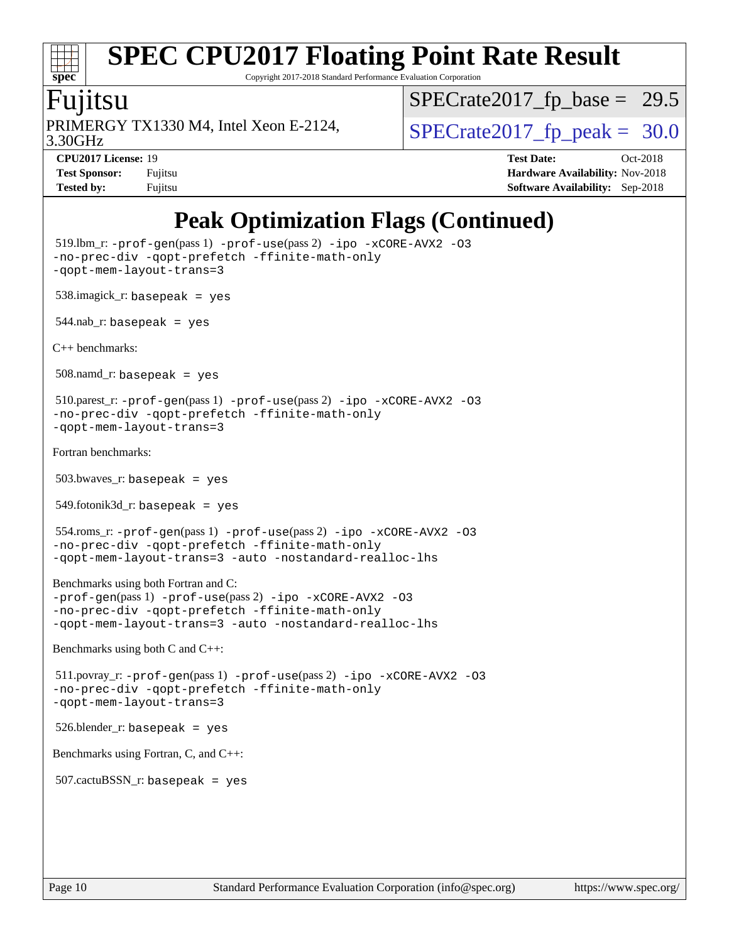# **[spec](http://www.spec.org/)**

# **[SPEC CPU2017 Floating Point Rate Result](http://www.spec.org/auto/cpu2017/Docs/result-fields.html#SPECCPU2017FloatingPointRateResult)**

Copyright 2017-2018 Standard Performance Evaluation Corporation

#### Fujitsu

3.30GHz PRIMERGY TX1330 M4, Intel Xeon E-2124,  $\vert$ [SPECrate2017\\_fp\\_peak =](http://www.spec.org/auto/cpu2017/Docs/result-fields.html#SPECrate2017fppeak) 30.0

 $SPECTate2017_fp\_base = 29.5$ 

**[Tested by:](http://www.spec.org/auto/cpu2017/Docs/result-fields.html#Testedby)** Fujitsu **[Software Availability:](http://www.spec.org/auto/cpu2017/Docs/result-fields.html#SoftwareAvailability)** Sep-2018

**[CPU2017 License:](http://www.spec.org/auto/cpu2017/Docs/result-fields.html#CPU2017License)** 19 **[Test Date:](http://www.spec.org/auto/cpu2017/Docs/result-fields.html#TestDate)** Oct-2018 **[Test Sponsor:](http://www.spec.org/auto/cpu2017/Docs/result-fields.html#TestSponsor)** Fujitsu **[Hardware Availability:](http://www.spec.org/auto/cpu2017/Docs/result-fields.html#HardwareAvailability)** Nov-2018

## **[Peak Optimization Flags \(Continued\)](http://www.spec.org/auto/cpu2017/Docs/result-fields.html#PeakOptimizationFlags)**

```
 519.lbm_r: -prof-gen(pass 1) -prof-use(pass 2) -ipo -xCORE-AVX2 -O3
-no-prec-div -qopt-prefetch -ffinite-math-only
-qopt-mem-layout-trans=3
 538.imagick_r: basepeak = yes
544.nab_r: basepeak = yes
C++ benchmarks: 
 508.namd_r: basepeak = yes
 510.parest_r: -prof-gen(pass 1) -prof-use(pass 2) -ipo -xCORE-AVX2 -O3
-no-prec-div -qopt-prefetch -ffinite-math-only
-qopt-mem-layout-trans=3
Fortran benchmarks: 
 503.bwaves_r: basepeak = yes
 549.fotonik3d_r: basepeak = yes
 554.roms_r: -prof-gen(pass 1) -prof-use(pass 2) -ipo -xCORE-AVX2 -O3
-no-prec-div -qopt-prefetch -ffinite-math-only
-qopt-mem-layout-trans=3 -auto -nostandard-realloc-lhs
Benchmarks using both Fortran and C: 
-prof-gen(pass 1) -prof-use(pass 2) -ipo -xCORE-AVX2 -O3
-no-prec-div -qopt-prefetch -ffinite-math-only
-qopt-mem-layout-trans=3 -auto -nostandard-realloc-lhs
Benchmarks using both C and C++: 
 511.povray_r: -prof-gen(pass 1) -prof-use(pass 2) -ipo -xCORE-AVX2 -O3
-no-prec-div -qopt-prefetch -ffinite-math-only
-qopt-mem-layout-trans=3
 526.blender_r: basepeak = yes
Benchmarks using Fortran, C, and C++: 
507.cactuBSSN r: basepeak = yes
```